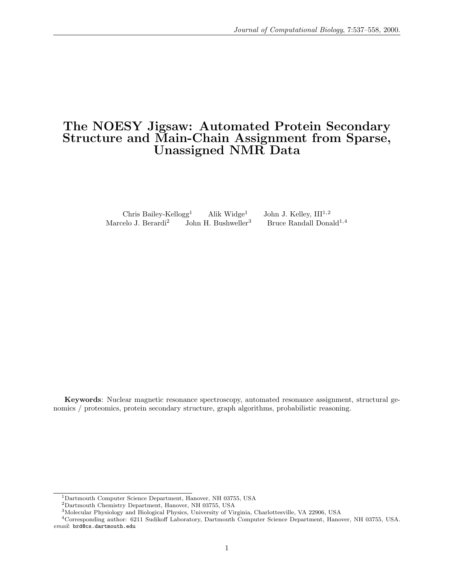# The NOESY Jigsaw: Automated Protein Secondary Structure and Main-Chain Assignment from Sparse, Unassigned NMR Data

Chris Bailey-Kellogg<sup>1</sup> Alik Widge<sup>1</sup> John J. Kelley,  $III^{1,2}$ Marcelo J. Berardi<sup>2</sup> John H. Bushweller<sup>3</sup> Bruce Randall Donald<sup>1,4</sup>

Keywords: Nuclear magnetic resonance spectroscopy, automated resonance assignment, structural genomics / proteomics, protein secondary structure, graph algorithms, probabilistic reasoning.

 $^1$  Dartmouth Computer Science Department, Hanover, NH 03755, USA

<sup>2</sup>Dartmouth Chemistry Department, Hanover, NH 03755, USA

<sup>3</sup>Molecular Physiology and Biological Physics, University of Virginia, Charlottesville, VA 22906, USA

<sup>4</sup>Corresponding author: 6211 Sudikoff Laboratory, Dartmouth Computer Science Department, Hanover, NH 03755, USA. email: brd@cs.dartmouth.edu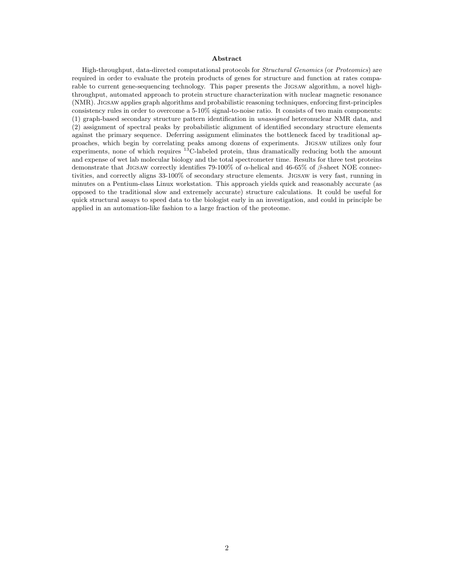#### Abstract

High-throughput, data-directed computational protocols for Structural Genomics (or Proteomics) are required in order to evaluate the protein products of genes for structure and function at rates comparable to current gene-sequencing technology. This paper presents the JIGSAW algorithm, a novel highthroughput, automated approach to protein structure characterization with nuclear magnetic resonance (NMR). Jigsaw applies graph algorithms and probabilistic reasoning techniques, enforcing first-principles consistency rules in order to overcome a 5-10% signal-to-noise ratio. It consists of two main components: (1) graph-based secondary structure pattern identification in unassigned heteronuclear NMR data, and (2) assignment of spectral peaks by probabilistic alignment of identified secondary structure elements against the primary sequence. Deferring assignment eliminates the bottleneck faced by traditional approaches, which begin by correlating peaks among dozens of experiments. Jigsaw utilizes only four experiments, none of which requires <sup>13</sup>C-labeled protein, thus dramatically reducing both the amount and expense of wet lab molecular biology and the total spectrometer time. Results for three test proteins demonstrate that JIGSAW correctly identifies 79-100% of  $\alpha$ -helical and 46-65% of  $\beta$ -sheet NOE connectivities, and correctly aligns 33-100% of secondary structure elements. Jigsaw is very fast, running in minutes on a Pentium-class Linux workstation. This approach yields quick and reasonably accurate (as opposed to the traditional slow and extremely accurate) structure calculations. It could be useful for quick structural assays to speed data to the biologist early in an investigation, and could in principle be applied in an automation-like fashion to a large fraction of the proteome.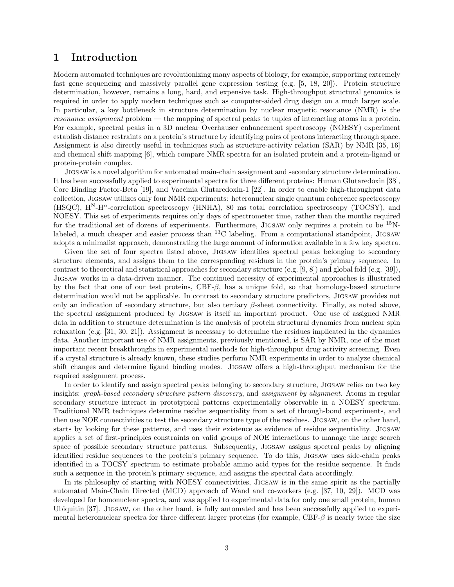# 1 Introduction

Modern automated techniques are revolutionizing many aspects of biology, for example, supporting extremely fast gene sequencing and massively parallel gene expression testing (e.g. [5, 18, 20]). Protein structure determination, however, remains a long, hard, and expensive task. High-throughput structural genomics is required in order to apply modern techniques such as computer-aided drug design on a much larger scale. In particular, a key bottleneck in structure determination by nuclear magnetic resonance (NMR) is the resonance assignment problem — the mapping of spectral peaks to tuples of interacting atoms in a protein. For example, spectral peaks in a 3D nuclear Overhauser enhancement spectroscopy (NOESY) experiment establish distance restraints on a protein's structure by identifying pairs of protons interacting through space. Assignment is also directly useful in techniques such as structure-activity relation (SAR) by NMR [35, 16] and chemical shift mapping [6], which compare NMR spectra for an isolated protein and a protein-ligand or protein-protein complex.

Jigsaw is a novel algorithm for automated main-chain assignment and secondary structure determination. It has been successfully applied to experimental spectra for three different proteins: Human Glutaredoxin [38], Core Binding Factor-Beta [19], and Vaccinia Glutaredoxin-1 [22]. In order to enable high-throughput data collection, Jigsaw utilizes only four NMR experiments: heteronuclear single quantum coherence spectroscopy (HSQC),  $H^{N}-H^{\alpha}$ -correlation spectroscopy (HNHA), 80 ms total correlation spectroscopy (TOCSY), and NOESY. This set of experiments requires only days of spectrometer time, rather than the months required for the traditional set of dozens of experiments. Furthermore, JIGSAW only requires a protein to be  $^{15}$ Nlabeled, a much cheaper and easier process than <sup>13</sup>C labeling. From a computational standpoint, JIGSAW adopts a minimalist approach, demonstrating the large amount of information available in a few key spectra.

Given the set of four spectra listed above, JIGSAW identifies spectral peaks belonging to secondary structure elements, and assigns them to the corresponding residues in the protein's primary sequence. In contrast to theoretical and statistical approaches for secondary structure (e.g. [9, 8]) and global fold (e.g. [39]), Jigsaw works in a data-driven manner. The continued necessity of experimental approaches is illustrated by the fact that one of our test proteins,  $CBF-\beta$ , has a unique fold, so that homology-based structure determination would not be applicable. In contrast to secondary structure predictors, Jigsaw provides not only an indication of secondary structure, but also tertiary β-sheet connectivity. Finally, as noted above, the spectral assignment produced by Jigsaw is itself an important product. One use of assigned NMR data in addition to structure determination is the analysis of protein structural dynamics from nuclear spin relaxation (e.g. [31, 30, 21]). Assignment is necessary to determine the residues implicated in the dynamics data. Another important use of NMR assignments, previously mentioned, is SAR by NMR, one of the most important recent breakthroughs in experimental methods for high-throughput drug activity screening. Even if a crystal structure is already known, these studies perform NMR experiments in order to analyze chemical shift changes and determine ligand binding modes. Jigsaw offers a high-throughput mechanism for the required assignment process.

In order to identify and assign spectral peaks belonging to secondary structure, Jigsaw relies on two key insights: *graph-based secondary structure pattern discovery*, and *assignment by alignment*. Atoms in regular secondary structure interact in prototypical patterns experimentally observable in a NOESY spectrum. Traditional NMR techniques determine residue sequentiality from a set of through-bond experiments, and then use NOE connectivities to test the secondary structure type of the residues. Jigsaw, on the other hand, starts by looking for these patterns, and uses their existence as evidence of residue sequentiality. Jigsaw applies a set of first-principles constraints on valid groups of NOE interactions to manage the large search space of possible secondary structure patterns. Subsequently, Jigsaw assigns spectral peaks by aligning identified residue sequences to the protein's primary sequence. To do this, Jigsaw uses side-chain peaks identified in a TOCSY spectrum to estimate probable amino acid types for the residue sequence. It finds such a sequence in the protein's primary sequence, and assigns the spectral data accordingly.

In its philosophy of starting with NOESY connectivities, Jigsaw is in the same spirit as the partially automated Main-Chain Directed (MCD) approach of Wand and co-workers (e.g. [37, 10, 29]). MCD was developed for homonuclear spectra, and was applied to experimental data for only one small protein, human Ubiquitin [37]. Jigsaw, on the other hand, is fully automated and has been successfully applied to experimental heteronuclear spectra for three different larger proteins (for example,  $CBF-\beta$  is nearly twice the size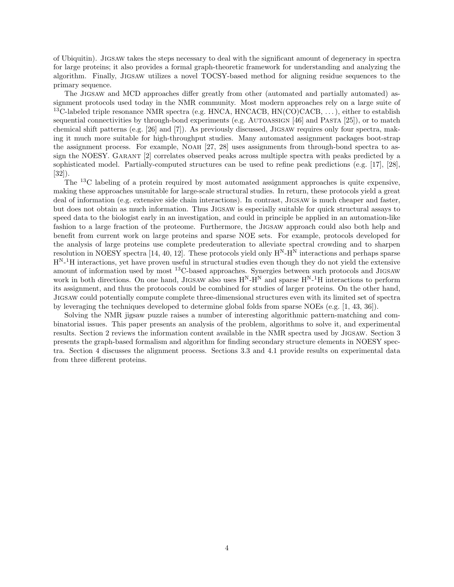of Ubiquitin). Jigsaw takes the steps necessary to deal with the significant amount of degeneracy in spectra for large proteins; it also provides a formal graph-theoretic framework for understanding and analyzing the algorithm. Finally, Jigsaw utilizes a novel TOCSY-based method for aligning residue sequences to the primary sequence.

The Jigsaw and MCD approaches differ greatly from other (automated and partially automated) assignment protocols used today in the NMR community. Most modern approaches rely on a large suite of <sup>13</sup>C-labeled triple resonance NMR spectra (e.g. HNCA, HNCACB, HN(CO)CACB, ...), either to establish sequential connectivities by through-bond experiments (e.g. AUTOASSIGN [46] and PASTA [25]), or to match chemical shift patterns (e.g. [26] and [7]). As previously discussed, Jigsaw requires only four spectra, making it much more suitable for high-throughput studies. Many automated assignment packages boot-strap the assignment process. For example, Noah [27, 28] uses assignments from through-bond spectra to assign the NOESY. Garant [2] correlates observed peaks across multiple spectra with peaks predicted by a sophisticated model. Partially-computed structures can be used to refine peak predictions (e.g. [17], [28], [32]).

The <sup>13</sup>C labeling of a protein required by most automated assignment approaches is quite expensive, making these approaches unsuitable for large-scale structural studies. In return, these protocols yield a great deal of information (e.g. extensive side chain interactions). In contrast, Jigsaw is much cheaper and faster, but does not obtain as much information. Thus Jigsaw is especially suitable for quick structural assays to speed data to the biologist early in an investigation, and could in principle be applied in an automation-like fashion to a large fraction of the proteome. Furthermore, the Jigsaw approach could also both help and benefit from current work on large proteins and sparse NOE sets. For example, protocols developed for the analysis of large proteins use complete predeuteration to alleviate spectral crowding and to sharpen resolution in NOESY spectra [14, 40, 12]. These protocols yield only  $H<sup>N</sup>$ -H<sup>N</sup> interactions and perhaps sparse  $H^{N-1}H$  interactions, yet have proven useful in structural studies even though they do not yield the extensive amount of information used by most <sup>13</sup>C-based approaches. Synergies between such protocols and Jigsaw work in both directions. On one hand, JIGSAW also uses  $H^N$ - $H^N$  and sparse  $H^{N-1}H$  interactions to perform its assignment, and thus the protocols could be combined for studies of larger proteins. On the other hand, Jigsaw could potentially compute complete three-dimensional structures even with its limited set of spectra by leveraging the techniques developed to determine global folds from sparse NOEs (e.g. [1, 43, 36]).

Solving the NMR jigsaw puzzle raises a number of interesting algorithmic pattern-matching and combinatorial issues. This paper presents an analysis of the problem, algorithms to solve it, and experimental results. Section 2 reviews the information content available in the NMR spectra used by Jigsaw. Section 3 presents the graph-based formalism and algorithm for finding secondary structure elements in NOESY spectra. Section 4 discusses the alignment process. Sections 3.3 and 4.1 provide results on experimental data from three different proteins.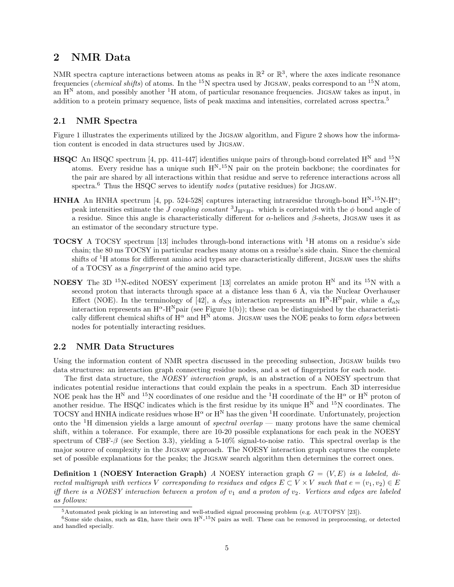# 2 NMR Data

NMR spectra capture interactions between atoms as peaks in  $\mathbb{R}^2$  or  $\mathbb{R}^3$ , where the axes indicate resonance frequencies (*chemical shifts*) of atoms. In the <sup>15</sup>N spectra used by JIGSAW, peaks correspond to an <sup>15</sup>N atom, an  $H<sup>N</sup>$  atom, and possibly another  $<sup>1</sup>H$  atom, of particular resonance frequencies. JIGSAW takes as input, in</sup> addition to a protein primary sequence, lists of peak maxima and intensities, correlated across spectra.<sup>5</sup>

### 2.1 NMR Spectra

Figure 1 illustrates the experiments utilized by the JIGSAW algorithm, and Figure 2 shows how the information content is encoded in data structures used by Jigsaw.

- **HSQC** An HSQC spectrum [4, pp. 411-447] identifies unique pairs of through-bond correlated  $H^N$  and <sup>15</sup>N atoms. Every residue has a unique such  $H^{N-15}N$  pair on the protein backbone; the coordinates for the pair are shared by all interactions within that residue and serve to reference interactions across all spectra. $\delta$  Thus the HSQC serves to identify nodes (putative residues) for JIGSAW.
- **HNHA** An HNHA spectrum [4, pp. 524-528] captures interacting intraresidue through-bond  $H^{N-15}N-H^{\alpha}$ ; peak intensities estimate the J coupling constant  ${}^{3}J_{H^{N}H^{a}}$  which is correlated with the  $\phi$  bond angle of a residue. Since this angle is characteristically different for  $\alpha$ -helices and  $\beta$ -sheets, JIGSAW uses it as an estimator of the secondary structure type.
- TOCSY A TOCSY spectrum [13] includes through-bond interactions with <sup>1</sup>H atoms on a residue's side chain; the 80 ms TOCSY in particular reaches many atoms on a residue's side chain. Since the chemical shifts of <sup>1</sup>H atoms for different amino acid types are characteristically different, Jigsaw uses the shifts of a TOCSY as a fingerprint of the amino acid type.
- **NOESY** The 3D <sup>15</sup>N-edited NOESY experiment [13] correlates an amide proton  $H^N$  and its <sup>15</sup>N with a second proton that interacts through space at a distance less than 6  $\AA$ , via the Nuclear Overhauser Effect (NOE). In the terminology of [42], a  $d_{NN}$  interaction represents an H<sup>N</sup>-H<sup>N</sup>pair, while a  $d_{\alpha N}$ interaction represents an  $H^{\alpha}$ -H<sup>N</sup>pair (see Figure 1(b)); these can be distinguished by the characteristically different chemical shifts of  $H^{\alpha}$  and  $H^{N}$  atoms. JIGSAW uses the NOE peaks to form *edges* between nodes for potentially interacting residues.

### 2.2 NMR Data Structures

Using the information content of NMR spectra discussed in the preceding subsection, Jigsaw builds two data structures: an interaction graph connecting residue nodes, and a set of fingerprints for each node.

The first data structure, the NOESY interaction graph, is an abstraction of a NOESY spectrum that indicates potential residue interactions that could explain the peaks in a spectrum. Each 3D interresidue NOE peak has the H<sup>N</sup> and <sup>15</sup>N coordinates of one residue and the <sup>1</sup>H coordinate of the H<sup> $\alpha$ </sup> or H<sup>N</sup> proton of another residue. The HSQC indicates which is the first residue by its unique  $H<sup>N</sup>$  and  $<sup>15</sup>N$  coordinates. The</sup> TOCSY and HNHA indicate residues whose  $H^{\alpha}$  or  $H^N$  has the given <sup>1</sup>H coordinate. Unfortunately, projection onto the <sup>1</sup>H dimension yields a large amount of *spectral overlap* — many protons have the same chemical shift, within a tolerance. For example, there are 10-20 possible explanations for each peak in the NOESY spectrum of CBF- $\beta$  (see Section 3.3), yielding a 5-10% signal-to-noise ratio. This spectral overlap is the major source of complexity in the Jigsaw approach. The NOESY interaction graph captures the complete set of possible explanations for the peaks; the Jigsaw search algorithm then determines the correct ones.

**Definition 1 (NOESY Interaction Graph)** A NOESY interaction graph  $G = (V, E)$  is a labeled, directed multigraph with vertices V corresponding to residues and edges  $E \subset V \times V$  such that  $e = (v_1, v_2) \in E$ iff there is a NOESY interaction between a proton of  $v_1$  and a proton of  $v_2$ . Vertices and edges are labeled as follows:

<sup>5</sup>Automated peak picking is an interesting and well-studied signal processing problem (e.g. AUTOPSY [23]).

 $6$ Some side chains, such as Gln, have their own  $H^{N-15}N$  pairs as well. These can be removed in preprocessing, or detected and handled specially.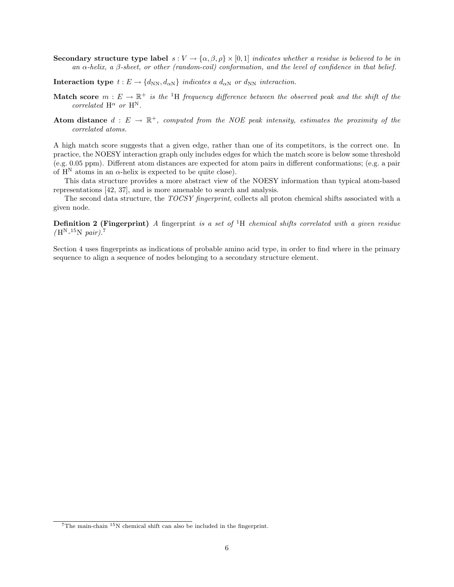- Secondary structure type label  $s: V \to {\alpha, \beta, \rho} \times [0, 1]$  indicates whether a residue is believed to be in an  $\alpha$ -helix, a  $\beta$ -sheet, or other (random-coil) conformation, and the level of confidence in that belief.
- Interaction type  $t : E \to \{d_{NN}, d_{\alpha N}\}\$  indicates a  $d_{\alpha N}$  or  $d_{NN}$  interaction.
- **Match score**  $m : E \to \mathbb{R}^+$  is the <sup>1</sup>H frequency difference between the observed peak and the shift of the correlated  $H^{\alpha}$  or  $H^{N}$ .
- Atom distance  $d : E \to \mathbb{R}^+$ , computed from the NOE peak intensity, estimates the proximity of the correlated atoms.

A high match score suggests that a given edge, rather than one of its competitors, is the correct one. In practice, the NOESY interaction graph only includes edges for which the match score is below some threshold (e.g. 0.05 ppm). Different atom distances are expected for atom pairs in different conformations; (e.g. a pair of  $H^N$  atoms in an  $\alpha$ -helix is expected to be quite close).

This data structure provides a more abstract view of the NOESY information than typical atom-based representations [42, 37], and is more amenable to search and analysis.

The second data structure, the TOCSY fingerprint, collects all proton chemical shifts associated with a given node.

**Definition 2 (Fingerprint)** A fingerprint is a set of  ${}^{1}H$  chemical shifts correlated with a given residue  $(H^N^{-15}N pair).$ <sup>7</sup>

Section 4 uses fingerprints as indications of probable amino acid type, in order to find where in the primary sequence to align a sequence of nodes belonging to a secondary structure element.

 $7$ The main-chain  $15$ N chemical shift can also be included in the fingerprint.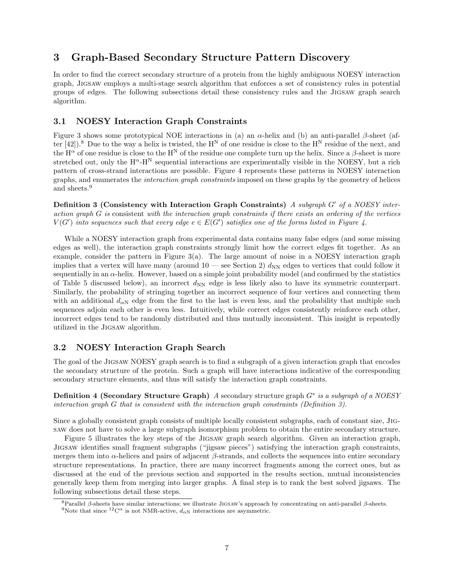# 3 Graph-Based Secondary Structure Pattern Discovery

In order to find the correct secondary structure of a protein from the highly ambiguous NOESY interaction graph, Jigsaw employs a multi-stage search algorithm that enforces a set of consistency rules in potential groups of edges. The following subsections detail these consistency rules and the Jigsaw graph search algorithm.

### 3.1 NOESY Interaction Graph Constraints

Figure 3 shows some prototypical NOE interactions in (a) an  $\alpha$ -helix and (b) an anti-parallel  $\beta$ -sheet (after  $[42]$ .<sup>8</sup> Due to the way a helix is twisted, the H<sup>N</sup> of one residue is close to the H<sup>N</sup> residue of the next, and the  $H^{\alpha}$  of one residue is close to the  $H^N$  of the residue one complete turn up the helix. Since a  $\beta$ -sheet is more stretched out, only the  $H^{\alpha}$ -H<sup>N</sup> sequential interactions are experimentally visible in the NOESY, but a rich pattern of cross-strand interactions are possible. Figure 4 represents these patterns in NOESY interaction graphs, and enumerates the interaction graph constraints imposed on these graphs by the geometry of helices and sheets.<sup>9</sup>

Definition 3 (Consistency with Interaction Graph Constraints) A subgraph  $G'$  of a NOESY interaction graph G is consistent with the interaction graph constraints if there exists an ordering of the vertices  $V(G')$  into sequences such that every edge  $e \in E(G')$  satisfies one of the forms listed in Figure 4.

While a NOESY interaction graph from experimental data contains many false edges (and some missing edges as well), the interaction graph constraints strongly limit how the correct edges fit together. As an example, consider the pattern in Figure 3(a). The large amount of noise in a NOESY interaction graph implies that a vertex will have many (around  $10$  — see Section 2)  $d_{NN}$  edges to vertices that could follow it sequentially in an  $\alpha$ -helix. However, based on a simple joint probability model (and confirmed by the statistics of Table 5 discussed below), an incorrect  $d_{NN}$  edge is less likely also to have its symmetric counterpart. Similarly, the probability of stringing together an incorrect sequence of four vertices and connecting them with an additional  $d_{\alpha N}$  edge from the first to the last is even less, and the probability that multiple such sequences adjoin each other is even less. Intuitively, while correct edges consistently reinforce each other, incorrect edges tend to be randomly distributed and thus mutually inconsistent. This insight is repeatedly utilized in the Jigsaw algorithm.

### 3.2 NOESY Interaction Graph Search

The goal of the Jigsaw NOESY graph search is to find a subgraph of a given interaction graph that encodes the secondary structure of the protein. Such a graph will have interactions indicative of the corresponding secondary structure elements, and thus will satisfy the interaction graph constraints.

Definition 4 (Secondary Structure Graph) A secondary structure graph  $G^*$  is a subgraph of a NOESY interaction graph G that is consistent with the interaction graph constraints (Definition 3).

Since a globally consistent graph consists of multiple locally consistent subgraphs, each of constant size, Jigsaw does not have to solve a large subgraph isomorphism problem to obtain the entire secondary structure.

Figure 5 illustrates the key steps of the JIGSAW graph search algorithm. Given an interaction graph, Jigsaw identifies small fragment subgraphs ("jigsaw pieces") satisfying the interaction graph constraints, merges them into α-helices and pairs of adjacent β-strands, and collects the sequences into entire secondary structure representations. In practice, there are many incorrect fragments among the correct ones, but as discussed at the end of the previous section and supported in the results section, mutual inconsistencies generally keep them from merging into larger graphs. A final step is to rank the best solved jigsaws. The following subsections detail these steps.

<sup>&</sup>lt;sup>8</sup>Parallel β-sheets have similar interactions; we illustrate JIGSAW's approach by concentrating on anti-parallel β-sheets. <sup>9</sup>Note that since <sup>12</sup>C<sup> $\alpha$ </sup> is not NMR-active,  $d_{\alpha N}$  interactions are asymmetric.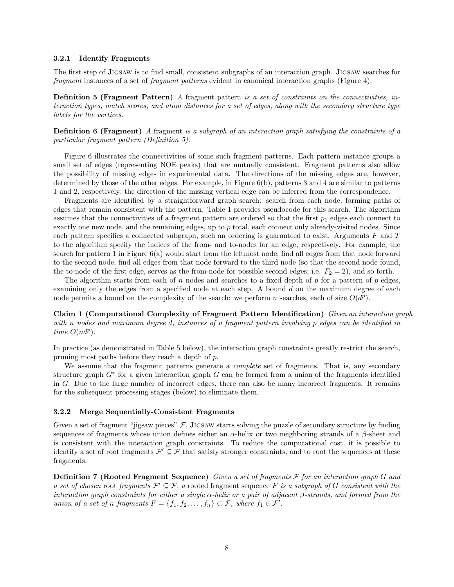#### 3.2.1 Identify Fragments

The first step of Jigsaw is to find small, consistent subgraphs of an interaction graph. Jigsaw searches for fragment instances of a set of fragment patterns evident in canonical interaction graphs (Figure 4).

Definition 5 (Fragment Pattern) A fragment pattern is a set of constraints on the connectivities, interaction types, match scores, and atom distances for a set of edges, along with the secondary structure type labels for the vertices.

**Definition 6 (Fragment)** A fragment is a subgraph of an interaction graph satisfying the constraints of a particular fragment pattern (Definition 5).

Figure 6 illustrates the connectivities of some such fragment patterns. Each pattern instance groups a small set of edges (representing NOE peaks) that are mutually consistent. Fragment patterns also allow the possibility of missing edges in experimental data. The directions of the missing edges are, however, determined by those of the other edges. For example, in Figure 6(b), patterns 3 and 4 are similar to patterns 1 and 2, respectively; the direction of the missing vertical edge can be inferred from the correspondence.

Fragments are identified by a straightforward graph search: search from each node, forming paths of edges that remain consistent with the pattern. Table 1 provides pseudocode for this search. The algorithm assumes that the connectivities of a fragment pattern are ordered so that the first  $p_1$  edges each connect to exactly one new node, and the remaining edges, up to p total, each connect only already-visited nodes. Since each pattern specifies a connected subgraph, such an ordering is guaranteed to exist. Arguments F and T to the algorithm specify the indices of the from- and to-nodes for an edge, respectively. For example, the search for pattern 1 in Figure 6(a) would start from the leftmost node, find all edges from that node forward to the second node, find all edges from that node forward to the third node (so that the second node found, the to-node of the first edge, serves as the from-node for possible second edges; i.e.  $F_2 = 2$ ), and so forth.

The algorithm starts from each of n nodes and searches to a fixed depth of  $p$  for a pattern of  $p$  edges, examining only the edges from a specified node at each step. A bound d on the maximum degree of each node permits a bound on the complexity of the search: we perform n searches, each of size  $O(d^p)$ .

Claim 1 (Computational Complexity of Fragment Pattern Identification) Given an interaction graph with n nodes and maximum degree d, instances of a fragment pattern involving p edges can be identified in time  $O(nd^p)$ .

In practice (as demonstrated in Table 5 below), the interaction graph constraints greatly restrict the search, pruning most paths before they reach a depth of p.

We assume that the fragment patterns generate a *complete* set of fragments. That is, any secondary structure graph  $G^*$  for a given interaction graph G can be formed from a union of the fragments identified in G. Due to the large number of incorrect edges, there can also be many incorrect fragments. It remains for the subsequent processing stages (below) to eliminate them.

#### 3.2.2 Merge Sequentially-Consistent Fragments

Given a set of fragment "jigsaw pieces"  $\mathcal{F}$ , JIGSAW starts solving the puzzle of secondary structure by finding sequences of fragments whose union defines either an  $\alpha$ -helix or two neighboring strands of a  $\beta$ -sheet and is consistent with the interaction graph constraints. To reduce the computational cost, it is possible to identify a set of root fragments  $\mathcal{F}' \subseteq \mathcal{F}$  that satisfy stronger constraints, and to root the sequences at these fragments.

**Definition 7 (Rooted Fragment Sequence)** Given a set of fragments  $\mathcal F$  for an interaction graph  $G$  and a set of chosen root fragments  $\mathcal{F}' \subseteq \mathcal{F}$ , a rooted fragment sequence F is a subgraph of G consistent with the interaction graph constraints for either a single  $\alpha$ -helix or a pair of adjacent  $\beta$ -strands, and formed from the union of a set of n fragments  $F = \{f_1, f_2, \ldots, f_n\} \subset \mathcal{F}$ , where  $f_1 \in \mathcal{F}'$ .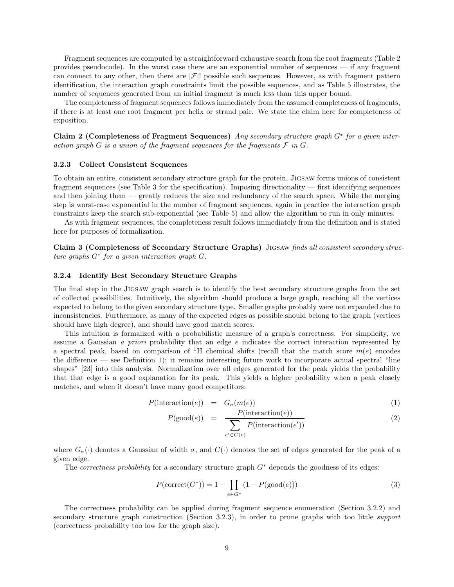Fragment sequences are computed by a straightforward exhaustive search from the root fragments (Table 2 provides pseudocode). In the worst case there are an exponential number of sequences — if any fragment can connect to any other, then there are  $|\mathcal{F}|$ ! possible such sequences. However, as with fragment pattern identification, the interaction graph constraints limit the possible sequences, and as Table 5 illustrates, the number of sequences generated from an initial fragment is much less than this upper bound.

The completeness of fragment sequences follows immediately from the assumed completeness of fragments, if there is at least one root fragment per helix or strand pair. We state the claim here for completeness of exposition.

Claim 2 (Completeness of Fragment Sequences) Any secondary structure graph  $G^*$  for a given interaction graph G is a union of the fragment sequences for the fragments  $\mathcal F$  in  $G$ .

#### 3.2.3 Collect Consistent Sequences

To obtain an entire, consistent secondary structure graph for the protein, Jigsaw forms unions of consistent fragment sequences (see Table 3 for the specification). Imposing directionality — first identifying sequences and then joining them — greatly reduces the size and redundancy of the search space. While the merging step is worst-case exponential in the number of fragment sequences, again in practice the interaction graph constraints keep the search sub-exponential (see Table 5) and allow the algorithm to run in only minutes.

As with fragment sequences, the completeness result follows immediately from the definition and is stated here for purposes of formalization.

Claim 3 (Completeness of Secondary Structure Graphs) Jigsaw finds all consistent secondary structure graphs G<sup>∗</sup> for a given interaction graph G.

#### 3.2.4 Identify Best Secondary Structure Graphs

The final step in the Jigsaw graph search is to identify the best secondary structure graphs from the set of collected possibilities. Intuitively, the algorithm should produce a large graph, reaching all the vertices expected to belong to the given secondary structure type. Smaller graphs probably were not expanded due to inconsistencies. Furthermore, as many of the expected edges as possible should belong to the graph (vertices should have high degree), and should have good match scores.

This intuition is formalized with a probabilistic measure of a graph's correctness. For simplicity, we assume a Gaussian a priori probability that an edge e indicates the correct interaction represented by a spectral peak, based on comparison of <sup>1</sup>H chemical shifts (recall that the match score  $m(e)$  encodes the difference — see Definition 1); it remains interesting future work to incorporate actual spectral "line shapes" [23] into this analysis. Normalization over all edges generated for the peak yields the probability that that edge is a good explanation for its peak. This yields a higher probability when a peak closely matches, and when it doesn't have many good competitors:

$$
P(\text{interaction}(e)) = G_{\sigma}(m(e)) \tag{1}
$$

$$
P(\text{good}(e)) = \frac{P(\text{interaction}(e))}{\sum_{e' \in C(e)} P(\text{interaction}(e'))}
$$
(2)

where  $G_{\sigma}(\cdot)$  denotes a Gaussian of width  $\sigma$ , and  $C(\cdot)$  denotes the set of edges generated for the peak of a given edge.

The *correctness probability* for a secondary structure graph  $G^*$  depends the goodness of its edges:

$$
P(\text{correct}(G^*)) = 1 - \prod_{e \in G^*} (1 - P(\text{good}(e))) \tag{3}
$$

The correctness probability can be applied during fragment sequence enumeration (Section 3.2.2) and secondary structure graph construction (Section 3.2.3), in order to prune graphs with too little *support* (correctness probability too low for the graph size).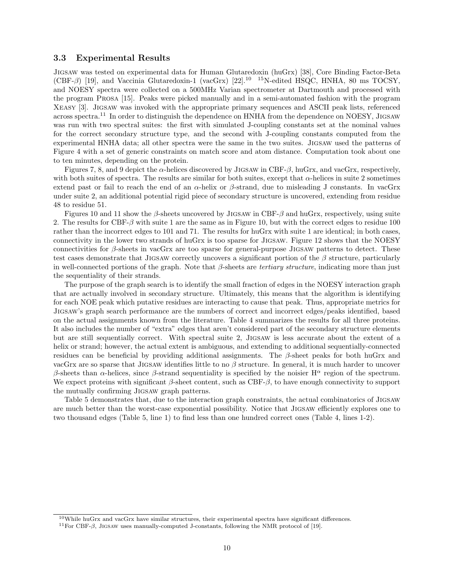#### 3.3 Experimental Results

Jigsaw was tested on experimental data for Human Glutaredoxin (huGrx) [38], Core Binding Factor-Beta  $(CBF-\beta)$  [19], and Vaccinia Glutaredoxin-1 (vacGrx) [22].<sup>10 15</sup>N-edited HSQC, HNHA, 80 ms TOCSY, and NOESY spectra were collected on a 500MHz Varian spectrometer at Dartmouth and processed with the program Prosa [15]. Peaks were picked manually and in a semi-automated fashion with the program Xeasy [3]. Jigsaw was invoked with the appropriate primary sequences and ASCII peak lists, referenced across spectra.<sup>11</sup> In order to distinguish the dependence on HNHA from the dependence on NOESY, JIGSAW was run with two spectral suites: the first with simulated J-coupling constants set at the nominal values for the correct secondary structure type, and the second with J-coupling constants computed from the experimental HNHA data; all other spectra were the same in the two suites. Jigsaw used the patterns of Figure 4 with a set of generic constraints on match score and atom distance. Computation took about one to ten minutes, depending on the protein.

Figures 7, 8, and 9 depict the  $\alpha$ -helices discovered by JIGSAW in CBF- $\beta$ , huGrx, and vacGrx, respectively, with both suites of spectra. The results are similar for both suites, except that  $\alpha$ -helices in suite 2 sometimes extend past or fail to reach the end of an  $\alpha$ -helix or  $\beta$ -strand, due to misleading J constants. In vacGrx under suite 2, an additional potential rigid piece of secondary structure is uncovered, extending from residue 48 to residue 51.

Figures 10 and 11 show the  $\beta$ -sheets uncovered by JIGSAW in CBF- $\beta$  and huGrx, respectively, using suite 2. The results for CBF- $\beta$  with suite 1 are the same as in Figure 10, but with the correct edges to residue 100 rather than the incorrect edges to 101 and 71. The results for huGrx with suite 1 are identical; in both cases, connectivity in the lower two strands of huGrx is too sparse for Jigsaw. Figure 12 shows that the NOESY connectivities for β-sheets in vacGrx are too sparse for general-purpose Jigsaw patterns to detect. These test cases demonstrate that JIGSAW correctly uncovers a significant portion of the  $\beta$  structure, particularly in well-connected portions of the graph. Note that  $\beta$ -sheets are *tertiary structure*, indicating more than just the sequentiality of their strands.

The purpose of the graph search is to identify the small fraction of edges in the NOESY interaction graph that are actually involved in secondary structure. Ultimately, this means that the algorithm is identifying for each NOE peak which putative residues are interacting to cause that peak. Thus, appropriate metrics for Jigsaw's graph search performance are the numbers of correct and incorrect edges/peaks identified, based on the actual assignments known from the literature. Table 4 summarizes the results for all three proteins. It also includes the number of "extra" edges that aren't considered part of the secondary structure elements but are still sequentially correct. With spectral suite 2, Jigsaw is less accurate about the extent of a helix or strand; however, the actual extent is ambiguous, and extending to additional sequentially-connected residues can be beneficial by providing additional assignments. The β-sheet peaks for both huGrx and vacGrx are so sparse that JIGSAW identifies little to no  $\beta$  structure. In general, it is much harder to uncover β-sheets than α-helices, since β-strand sequentiality is specified by the noisier  $H^{\alpha}$  region of the spectrum. We expect proteins with significant  $\beta$ -sheet content, such as CBF- $\beta$ , to have enough connectivity to support the mutually confirming Jigsaw graph patterns.

Table 5 demonstrates that, due to the interaction graph constraints, the actual combinatorics of Jigsaw are much better than the worst-case exponential possibility. Notice that Jigsaw efficiently explores one to two thousand edges (Table 5, line 1) to find less than one hundred correct ones (Table 4, lines 1-2).

<sup>10</sup>While huGrx and vacGrx have similar structures, their experimental spectra have significant differences.

<sup>&</sup>lt;sup>11</sup>For CBF- $\beta$ , JIGSAW uses manually-computed J-constants, following the NMR protocol of [19].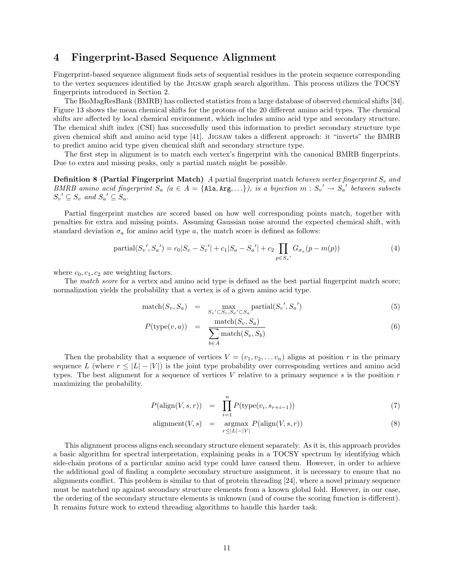## 4 Fingerprint-Based Sequence Alignment

Fingerprint-based sequence alignment finds sets of sequential residues in the protein sequence corresponding to the vertex sequences identified by the Jigsaw graph search algorithm. This process utilizes the TOCSY fingerprints introduced in Section 2.

The BioMagResBank (BMRB) has collected statistics from a large database of observed chemical shifts [34]. Figure 13 shows the mean chemical shifts for the protons of the 20 different amino acid types. The chemical shifts are affected by local chemical environment, which includes amino acid type and secondary structure. The chemical shift index (CSI) has successfully used this information to predict secondary structure type given chemical shift and amino acid type [41]. Jigsaw takes a different approach: it "inverts" the BMRB to predict amino acid type given chemical shift and secondary structure type.

The first step in alignment is to match each vertex's fingerprint with the canonical BMRB fingerprints. Due to extra and missing peaks, only a partial match might be possible.

**Definition 8 (Partial Fingerprint Match)** A partial fingerprint match between vertex fingerprint  $S_v$  and BMRB amino acid fingerprint  $S_a$  ( $a \in A = \{ \text{Ala}, \text{Arg}, \ldots \}$ ), is a bijection  $m : S_v' \to S_a'$  between subsets  $S_v' \subseteq S_v$  and  $S_a' \subseteq S_a$ .

Partial fingerprint matches are scored based on how well corresponding points match, together with penalties for extra and missing points. Assuming Gaussian noise around the expected chemical shift, with standard deviation  $\sigma_a$  for amino acid type a, the match score is defined as follows:

partial(
$$
S_v'
$$
,  $S_a'$ ) =  $c_0|S_v - S_v'| + c_1|S_a - S_a'| + c_2 \prod_{p \in S_v'} G_{\sigma_a}(p - m(p))$  (4)

where  $c_0, c_1, c_2$  are weighting factors.

The match score for a vertex and amino acid type is defined as the best partial fingerprint match score; normalization yields the probability that a vertex is of a given amino acid type.

$$
\text{match}(S_v, S_a) = \max_{S_v' \subset S_v, S_a' \subset S_a} \text{partial}(S_v', S_a') \tag{5}
$$

$$
P(\text{type}(v, a)) = \frac{\text{match}(S_v, S_a)}{\sum_{b \in A} \text{match}(S_v, S_b)}
$$
(6)

Then the probability that a sequence of vertices  $V = (v_1, v_2, \ldots v_n)$  aligns at position r in the primary sequence L (where  $r \leq |L| - |V|$ ) is the joint type probability over corresponding vertices and amino acid types. The best alignment for a sequence of vertices  $V$  relative to a primary sequence  $s$  is the position  $r$ maximizing the probability.

$$
P(\text{align}(V,s,r)) = \prod_{i=1}^{n} P(\text{type}(v_i, s_{r+i-1})) \tag{7}
$$

$$
alignment(V, s) = argmax_{r \le |L| - |V|} P(\text{align}(V, s, r))
$$
\n(8)

This alignment process aligns each secondary structure element separately. As it is, this approach provides a basic algorithm for spectral interpretation, explaining peaks in a TOCSY spectrum by identifying which side-chain protons of a particular amino acid type could have caused them. However, in order to achieve the additional goal of finding a complete secondary structure assignment, it is necessary to ensure that no alignments conflict. This problem is similar to that of protein threading [24], where a novel primary sequence must be matched up against secondary structure elements from a known global fold. However, in our case, the ordering of the secondary structure elements is unknown (and of course the scoring function is different). It remains future work to extend threading algorithms to handle this harder task.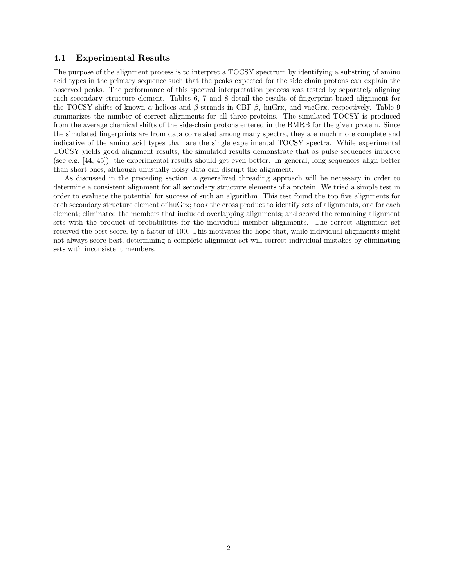### 4.1 Experimental Results

The purpose of the alignment process is to interpret a TOCSY spectrum by identifying a substring of amino acid types in the primary sequence such that the peaks expected for the side chain protons can explain the observed peaks. The performance of this spectral interpretation process was tested by separately aligning each secondary structure element. Tables 6, 7 and 8 detail the results of fingerprint-based alignment for the TOCSY shifts of known  $\alpha$ -helices and  $\beta$ -strands in CBF- $\beta$ , huGrx, and vacGrx, respectively. Table 9 summarizes the number of correct alignments for all three proteins. The simulated TOCSY is produced from the average chemical shifts of the side-chain protons entered in the BMRB for the given protein. Since the simulated fingerprints are from data correlated among many spectra, they are much more complete and indicative of the amino acid types than are the single experimental TOCSY spectra. While experimental TOCSY yields good alignment results, the simulated results demonstrate that as pulse sequences improve (see e.g. [44, 45]), the experimental results should get even better. In general, long sequences align better than short ones, although unusually noisy data can disrupt the alignment.

As discussed in the preceding section, a generalized threading approach will be necessary in order to determine a consistent alignment for all secondary structure elements of a protein. We tried a simple test in order to evaluate the potential for success of such an algorithm. This test found the top five alignments for each secondary structure element of huGrx; took the cross product to identify sets of alignments, one for each element; eliminated the members that included overlapping alignments; and scored the remaining alignment sets with the product of probabilities for the individual member alignments. The correct alignment set received the best score, by a factor of 100. This motivates the hope that, while individual alignments might not always score best, determining a complete alignment set will correct individual mistakes by eliminating sets with inconsistent members.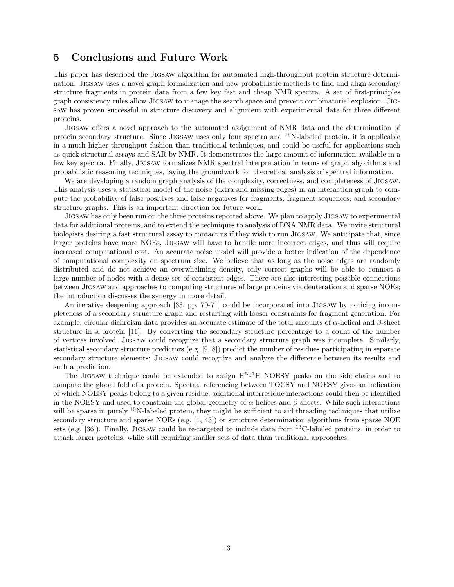# 5 Conclusions and Future Work

This paper has described the Jigsaw algorithm for automated high-throughput protein structure determination. Jigsaw uses a novel graph formalization and new probabilistic methods to find and align secondary structure fragments in protein data from a few key fast and cheap NMR spectra. A set of first-principles graph consistency rules allow Jigsaw to manage the search space and prevent combinatorial explosion. Jigsaw has proven successful in structure discovery and alignment with experimental data for three different proteins.

Jigsaw offers a novel approach to the automated assignment of NMR data and the determination of protein secondary structure. Since Jigsaw uses only four spectra and <sup>15</sup>N-labeled protein, it is applicable in a much higher throughput fashion than traditional techniques, and could be useful for applications such as quick structural assays and SAR by NMR. It demonstrates the large amount of information available in a few key spectra. Finally, Jigsaw formalizes NMR spectral interpretation in terms of graph algorithms and probabilistic reasoning techniques, laying the groundwork for theoretical analysis of spectral information.

We are developing a random graph analysis of the complexity, correctness, and completeness of Jigsaw. This analysis uses a statistical model of the noise (extra and missing edges) in an interaction graph to compute the probability of false positives and false negatives for fragments, fragment sequences, and secondary structure graphs. This is an important direction for future work.

Jigsaw has only been run on the three proteins reported above. We plan to apply Jigsaw to experimental data for additional proteins, and to extend the techniques to analysis of DNA NMR data. We invite structural biologists desiring a fast structural assay to contact us if they wish to run Jigsaw. We anticipate that, since larger proteins have more NOEs, Jigsaw will have to handle more incorrect edges, and thus will require increased computational cost. An accurate noise model will provide a better indication of the dependence of computational complexity on spectrum size. We believe that as long as the noise edges are randomly distributed and do not achieve an overwhelming density, only correct graphs will be able to connect a large number of nodes with a dense set of consistent edges. There are also interesting possible connections between Jigsaw and approaches to computing structures of large proteins via deuteration and sparse NOEs; the introduction discusses the synergy in more detail.

An iterative deepening approach [33, pp. 70-71] could be incorporated into Jigsaw by noticing incompleteness of a secondary structure graph and restarting with looser constraints for fragment generation. For example, circular dichroism data provides an accurate estimate of the total amounts of  $\alpha$ -helical and  $\beta$ -sheet structure in a protein [11]. By converting the secondary structure percentage to a count of the number of vertices involved, Jigsaw could recognize that a secondary structure graph was incomplete. Similarly, statistical secondary structure predictors (e.g. [9, 8]) predict the number of residues participating in separate secondary structure elements; Jigsaw could recognize and analyze the difference between its results and such a prediction.

The JIGSAW technique could be extended to assign  $H^{N-1}H$  NOESY peaks on the side chains and to compute the global fold of a protein. Spectral referencing between TOCSY and NOESY gives an indication of which NOESY peaks belong to a given residue; additional interresidue interactions could then be identified in the NOESY and used to constrain the global geometry of  $\alpha$ -helices and  $\beta$ -sheets. While such interactions will be sparse in purely <sup>15</sup>N-labeled protein, they might be sufficient to aid threading techniques that utilize secondary structure and sparse NOEs (e.g. [1, 43]) or structure determination algorithms from sparse NOE sets (e.g. [36]). Finally, JIGSAW could be re-targeted to include data from  $^{13}$ C-labeled proteins, in order to attack larger proteins, while still requiring smaller sets of data than traditional approaches.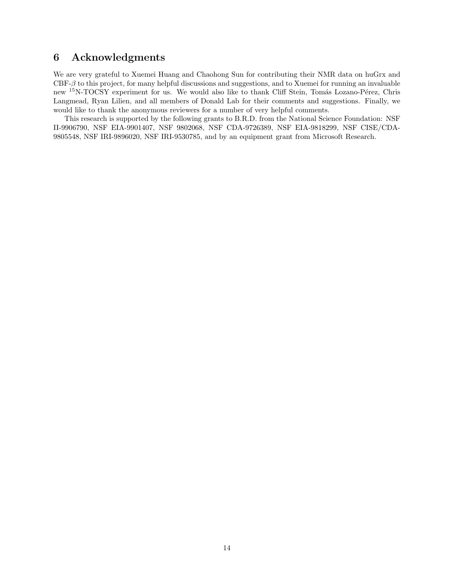# 6 Acknowledgments

We are very grateful to Xuemei Huang and Chaohong Sun for contributing their NMR data on huGrx and CBF-β to this project, for many helpful discussions and suggestions, and to Xuemei for running an invaluable new <sup>15</sup>N-TOCSY experiment for us. We would also like to thank Cliff Stein, Tomás Lozano-Pérez, Chris Langmead, Ryan Lilien, and all members of Donald Lab for their comments and suggestions. Finally, we would like to thank the anonymous reviewers for a number of very helpful comments.

This research is supported by the following grants to B.R.D. from the National Science Foundation: NSF II-9906790, NSF EIA-9901407, NSF 9802068, NSF CDA-9726389, NSF EIA-9818299, NSF CISE/CDA-9805548, NSF IRI-9896020, NSF IRI-9530785, and by an equipment grant from Microsoft Research.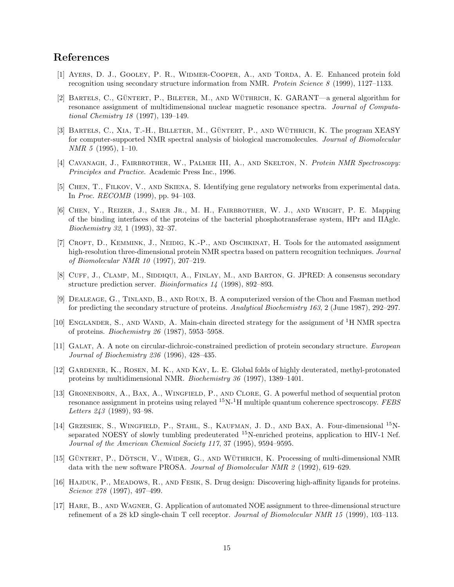# References

- [1] Ayers, D. J., Gooley, P. R., Widmer-Cooper, A., and Torda, A. E. Enhanced protein fold recognition using secondary structure information from NMR. Protein Science 8 (1999), 1127–1133.
- [2] BARTELS, C., GÜNTERT, P., BILETER, M., AND WÜTHRICH, K. GARANT—a general algorithm for resonance assignment of multidimensional nuclear magnetic resonance spectra. Journal of Computational Chemistry 18 (1997), 139–149.
- [3] BARTELS, C., XIA, T.-H., BILLETER, M., GÜNTERT, P., AND WÜTHRICH, K. The program XEASY for computer-supported NMR spectral analysis of biological macromolecules. Journal of Biomolecular NMR 5 (1995), 1–10.
- [4] CAVANAGH, J., FAIRBROTHER, W., PALMER III, A., AND SKELTON, N. Protein NMR Spectroscopy: Principles and Practice. Academic Press Inc., 1996.
- [5] Chen, T., Filkov, V., and Skiena, S. Identifying gene regulatory networks from experimental data. In Proc. RECOMB (1999), pp. 94–103.
- [6] Chen, Y., Reizer, J., Saier Jr., M. H., Fairbrother, W. J., and Wright, P. E. Mapping of the binding interfaces of the proteins of the bacterial phosphotransferase system, HPr and IIAglc. Biochemistry 32, 1 (1993), 32–37.
- [7] CROFT, D., KEMMINK, J., NEIDIG, K.-P., AND OSCHKINAT, H. Tools for the automated assignment high-resolution three-dimensional protein NMR spectra based on pattern recognition techniques. Journal of Biomolecular NMR 10 (1997), 207–219.
- [8] Cuff, J., Clamp, M., Siddiqui, A., Finlay, M., and Barton, G. JPRED: A consensus secondary structure prediction server. Bioinformatics 14 (1998), 892–893.
- [9] Dealeage, G., Tinland, B., and Roux, B. A computerized version of the Chou and Fasman method for predicting the secondary structure of proteins. Analytical Biochemistry 163, 2 (June 1987), 292–297.
- [10] Englander, S., and Wand, A. Main-chain directed strategy for the assignment of <sup>1</sup>H NMR spectra of proteins. Biochemistry 26 (1987), 5953–5958.
- [11] GALAT, A. A note on circular-dichroic-constrained prediction of protein secondary structure. European Journal of Biochemistry 236 (1996), 428–435.
- [12] Gardener, K., Rosen, M. K., and Kay, L. E. Global folds of highly deuterated, methyl-protonated proteins by multidimensional NMR. Biochemistry 36 (1997), 1389–1401.
- [13] Gronenborn, A., Bax, A., Wingfield, P., and Clore, G. A powerful method of sequential proton resonance assignment in proteins using relayed  ${}^{15}N-{}^{1}H$  multiple quantum coherence spectroscopy. FEBS Letters 243 (1989), 93–98.
- [14] GRZESIEK, S., WINGFIELD, P., STAHL, S., KAUFMAN, J. D., AND BAX, A. Four-dimensional <sup>15</sup>Nseparated NOESY of slowly tumbling predeuterated <sup>15</sup>N-enriched proteins, application to HIV-1 Nef. Journal of the American Chemical Society 117, 37 (1995), 9594–9595.
- [15] GÜNTERT, P., DÖTSCH, V., WIDER, G., AND WÜTHRICH, K. Processing of multi-dimensional NMR data with the new software PROSA. Journal of Biomolecular NMR 2 (1992), 619–629.
- [16] Hajduk, P., Meadows, R., and Fesik, S. Drug design: Discovering high-affinity ligands for proteins. Science 278 (1997), 497–499.
- [17] Hare, B., and Wagner, G. Application of automated NOE assignment to three-dimensional structure refinement of a 28 kD single-chain T cell receptor. Journal of Biomolecular NMR 15 (1999), 103–113.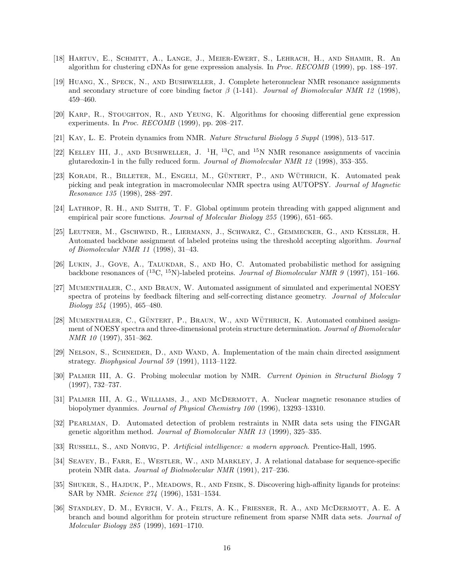- [18] Hartuv, E., Schmitt, A., Lange, J., Meier-Ewert, S., Lehrach, H., and Shamir, R. An algorithm for clustering cDNAs for gene expression analysis. In Proc. RECOMB (1999), pp. 188–197.
- [19] Huang, X., Speck, N., and Bushweller, J. Complete heteronuclear NMR resonance assignments and secondary structure of core binding factor  $\beta$  (1-141). Journal of Biomolecular NMR 12 (1998), 459–460.
- [20] Karp, R., Stoughton, R., and Yeung, K. Algorithms for choosing differential gene expression experiments. In Proc. RECOMB (1999), pp. 208–217.
- [21] Kay, L. E. Protein dynamics from NMR. Nature Structural Biology 5 Suppl (1998), 513–517.
- [22] KELLEY III, J., AND BUSHWELLER, J.  $^{1}H$ ,  $^{13}C$ , and  $^{15}N$  NMR resonance assignments of vaccinia glutaredoxin-1 in the fully reduced form. Journal of Biomolecular NMR 12 (1998), 353–355.
- [23] KORADI, R., BILLETER, M., ENGELI, M., GÜNTERT, P., AND WÜTHRICH, K. Automated peak picking and peak integration in macromolecular NMR spectra using AUTOPSY. Journal of Magnetic Resonance 135 (1998), 288–297.
- [24] Lathrop, R. H., and Smith, T. F. Global optimum protein threading with gapped alignment and empirical pair score functions. Journal of Molecular Biology 255 (1996), 651–665.
- [25] Leutner, M., Gschwind, R., Liermann, J., Schwarz, C., Gemmecker, G., and Kessler, H. Automated backbone assignment of labeled proteins using the threshold accepting algorithm. Journal of Biomolecular NMR 11 (1998), 31–43.
- [26] LUKIN, J., GOVE, A., TALUKDAR, S., AND HO, C. Automated probabilistic method for assigning backbone resonances of  $(^{13}C, ^{15}N)$ -labeled proteins. *Journal of Biomolecular NMR 9* (1997), 151–166.
- [27] Mumenthaler, C., and Braun, W. Automated assignment of simulated and experimental NOESY spectra of proteins by feedback filtering and self-correcting distance geometry. Journal of Molecular Biology 254 (1995), 465–480.
- [28] MUMENTHALER, C., GÜNTERT, P., BRAUN, W., AND WÜTHRICH, K. Automated combined assignment of NOESY spectra and three-dimensional protein structure determination. Journal of Biomolecular NMR 10 (1997), 351–362.
- [29] Nelson, S., Schneider, D., and Wand, A. Implementation of the main chain directed assignment strategy. Biophysical Journal 59 (1991), 1113–1122.
- [30] Palmer III, A. G. Probing molecular motion by NMR. Current Opinion in Structural Biology 7 (1997), 732–737.
- [31] PALMER III, A. G., WILLIAMS, J., AND MCDERMOTT, A. Nuclear magnetic resonance studies of biopolymer dyanmics. Journal of Physical Chemistry 100 (1996), 13293–13310.
- [32] Pearlman, D. Automated detection of problem restraints in NMR data sets using the FINGAR genetic algorithm method. Journal of Biomolecular NMR 13 (1999), 325–335.
- [33] RUSSELL, S., AND NORVIG, P. *Artificial intelligence: a modern approach*. Prentice-Hall, 1995.
- [34] SEAVEY, B., FARR, E., WESTLER, W., AND MARKLEY, J. A relational database for sequence-specific protein NMR data. Journal of Biolmolecular NMR (1991), 217–236.
- [35] SHUKER, S., HAJDUK, P., MEADOWS, R., AND FESIK, S. Discovering high-affinity ligands for proteins: SAR by NMR. Science 274 (1996), 1531–1534.
- [36] Standley, D. M., Eyrich, V. A., Felts, A. K., Friesner, R. A., and McDermott, A. E. A branch and bound algorithm for protein structure refinement from sparse NMR data sets. Journal of Molecular Biology 285 (1999), 1691–1710.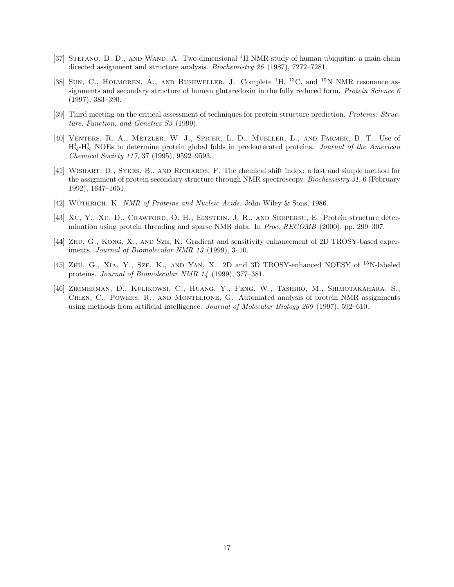- [37] STEFANO, D. D., AND WAND, A. Two-dimensional  ${}^{1}H$  NMR study of human ubiquitin: a main-chain directed assignment and structure analysis. Biochemistry 26 (1987), 7272–7281.
- [38] SUN, C., HOLMGREN, A., AND BUSHWELLER, J. Complete <sup>1</sup>H, <sup>13</sup>C, and <sup>15</sup>N NMR resonance assignments and secondary structure of human glutaredoxin in the fully reduced form. Protein Science 6 (1997), 383–390.
- [39] Third meeting on the critical assessment of techniques for protein structure prediction. Proteins: Structure, Function, and Genetics S3 (1999).
- [40] Venters, R. A., Metzler, W. J., Spicer, L. D., Mueller, L., and Farmer, B. T. Use of  $H_N^1$ - $H_N^1$  NOEs to determine protein global folds in predeuterated proteins. *Journal of the American* Chemical Society 117, 37 (1995), 9592–9593.
- [41] WISHART, D., SYKES, B., AND RICHARDS, F. The chemical shift index: a fast and simple method for the assignment of protein secondary structure through NMR spectroscopy. *Biochemistry 31*, 6 (February 1992), 1647–1651.
- [42] WÜTHRICH, K. NMR of Proteins and Nucleic Acids. John Wiley & Sons, 1986.
- [43] Xu, Y., Xu, D., Crawford, O. H., Einstein, J. R., and Serpersu, E. Protein structure determination using protein threading and sparse NMR data. In Proc. RECOMB (2000), pp. 299–307.
- [44] Zhu, G., Kong, X., and Sze, K. Gradient and sensitivity enhancement of 2D TROSY-based experiments. Journal of Biomolecular NMR 13 (1999), 3–10.
- [45] Zhu, G., Xia, Y., Sze, K., and Yan, X. 2D and 3D TROSY-enhanced NOESY of <sup>15</sup>N-labeled proteins. Journal of Biomolecular NMR 14 (1999), 377–381.
- [46] Zimmerman, D., Kulikowsi, C., Huang, Y., Feng, W., Tashiro, M., Shimotakahara, S., CHIEN, C., POWERS, R., AND MONTELIONE, G. Automated analysis of protein NMR assignments using methods from artificial intelligence. Journal of Molecular Biology 269 (1997), 592–610.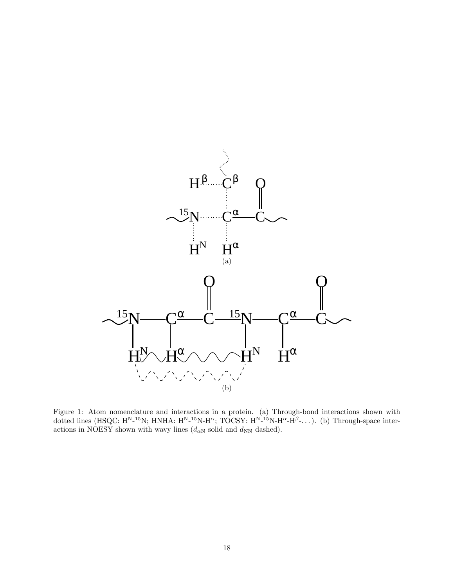

Figure 1: Atom nomenclature and interactions in a protein. (a) Through-bond interactions shown with dotted lines (HSQC:  $H^{N_{-}15}N$ ; HNHA:  $H^{N_{-}15}N$ -H<sup> $\alpha$ </sup>; TOCSY:  $H^{N_{-}15}N$ -H $^{\alpha}$ -H $^{\beta}$ -...). (b) Through-space interactions in NOESY shown with wavy lines  $(d_{\alpha N} \text{ solid and } d_{NN} \text{ dashed}).$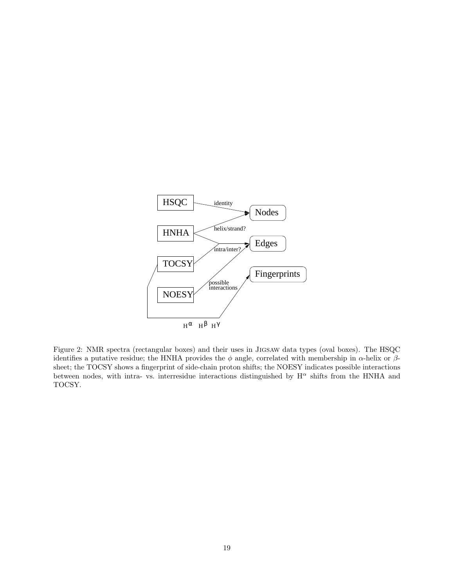

Figure 2: NMR spectra (rectangular boxes) and their uses in Jigsaw data types (oval boxes). The HSQC identifies a putative residue; the HNHA provides the  $\phi$  angle, correlated with membership in  $\alpha$ -helix or  $\beta$ sheet; the TOCSY shows a fingerprint of side-chain proton shifts; the NOESY indicates possible interactions between nodes, with intra- vs. interresidue interactions distinguished by  $H^{\alpha}$  shifts from the HNHA and TOCSY.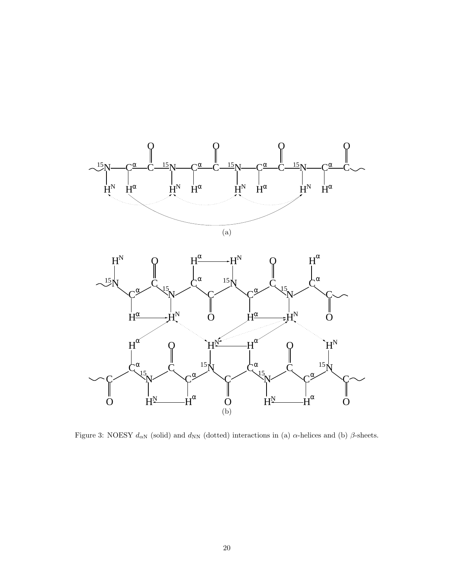

Figure 3: NOESY  $d_{\alpha N}$  (solid) and  $d_{\rm NN}$  (dotted) interactions in (a)  $\alpha$ -helices and (b)  $\beta$ -sheets.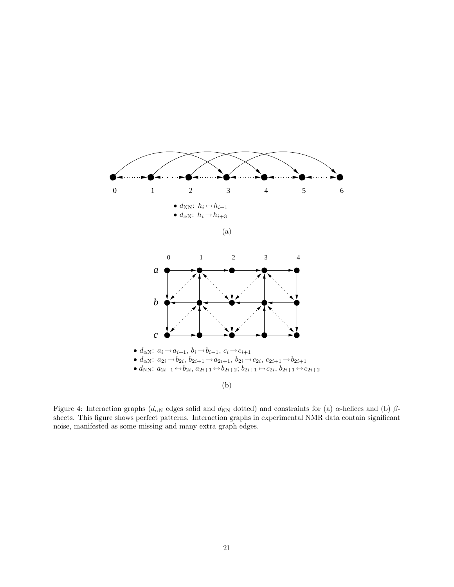

Figure 4: Interaction graphs ( $d_{\alpha N}$  edges solid and  $d_{NN}$  dotted) and constraints for (a)  $\alpha$ -helices and (b)  $\beta$ sheets. This figure shows perfect patterns. Interaction graphs in experimental NMR data contain significant noise, manifested as some missing and many extra graph edges.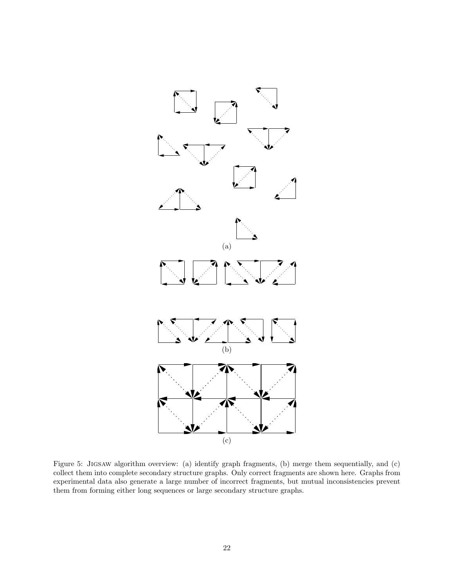

Figure 5: Jigsaw algorithm overview: (a) identify graph fragments, (b) merge them sequentially, and (c) collect them into complete secondary structure graphs. Only correct fragments are shown here. Graphs from experimental data also generate a large number of incorrect fragments, but mutual inconsistencies prevent them from forming either long sequences or large secondary structure graphs.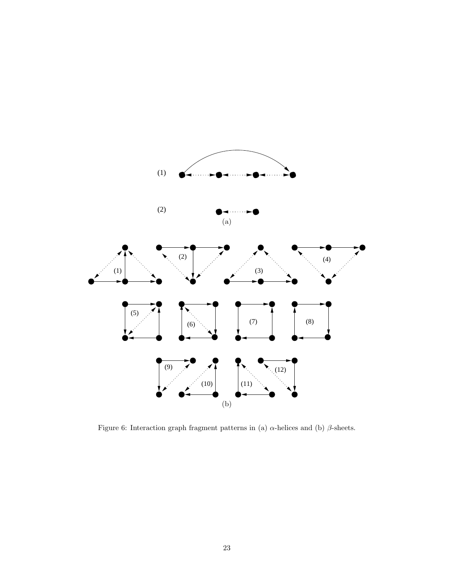

Figure 6: Interaction graph fragment patterns in (a)  $α$ -helices and (b)  $β$ -sheets.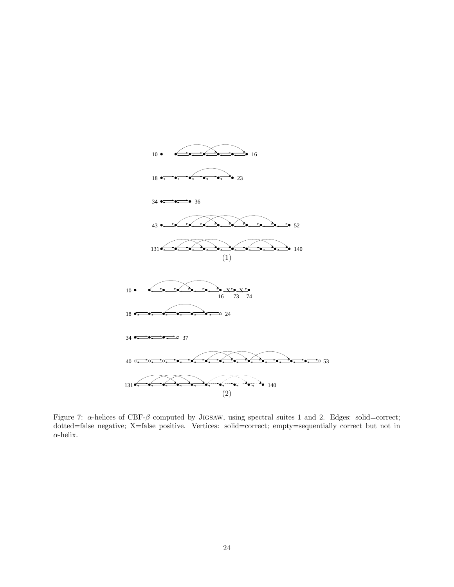

Figure 7:  $\alpha$ -helices of CBF- $\beta$  computed by JIGSAW, using spectral suites 1 and 2. Edges: solid=correct; dotted=false negative; X=false positive. Vertices: solid=correct; empty=sequentially correct but not in  $\alpha$  -helix.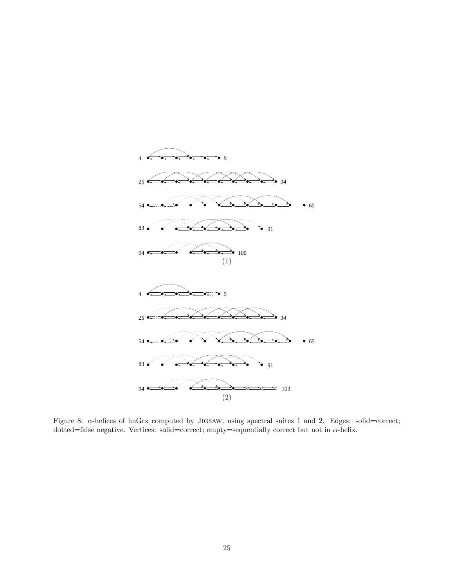

Figure 8: α-helices of huGrx computed by Jigsaw, using spectral suites 1 and 2. Edges: solid=correct; dotted=false negative. Vertices: solid=correct; empty=sequentially correct but not in  $\alpha$ -helix.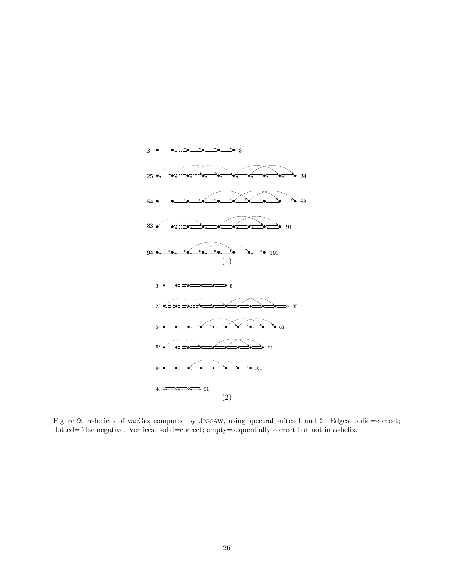

Figure 9:  $\alpha$ -helices of vacGrx computed by JIGSAW, using spectral suites 1 and 2. Edges: solid=correct; dotted=false negative. Vertices: solid=correct; empty=sequentially correct but not in  $\alpha$ -helix.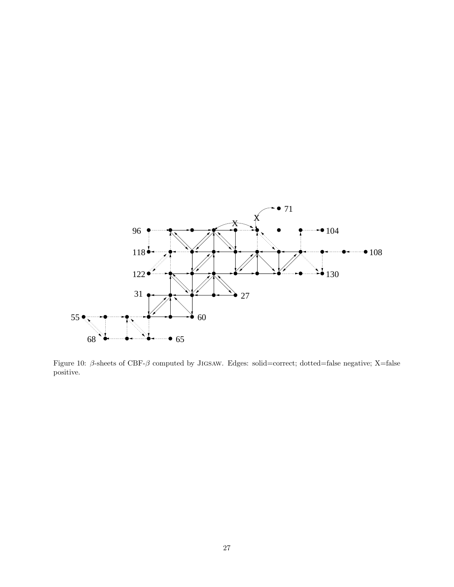

Figure 10: β-sheets of CBF-β computed by Jigsaw. Edges: solid=correct; dotted=false negative; X=false positive.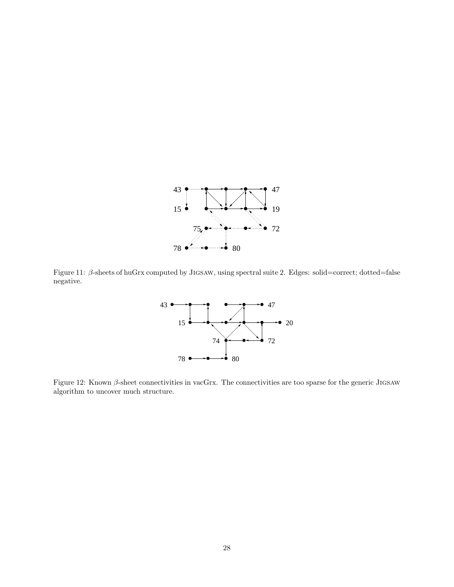

Figure 11: β-sheets of huGrx computed by Jigsaw, using spectral suite 2. Edges: solid=correct; dotted=false negative.



Figure 12: Known β-sheet connectivities in vacGrx. The connectivities are too sparse for the generic Jigsaw algorithm to uncover much structure.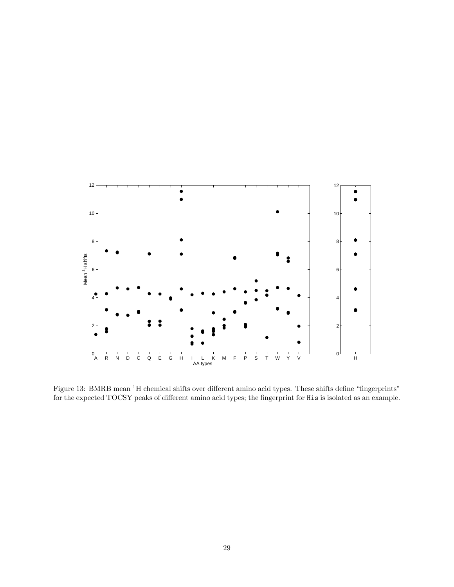

Figure 13: BMRB mean <sup>1</sup>H chemical shifts over different amino acid types. These shifts define "fingerprints" for the expected TOCSY peaks of different amino acid types; the fingerprint for His is isolated as an example.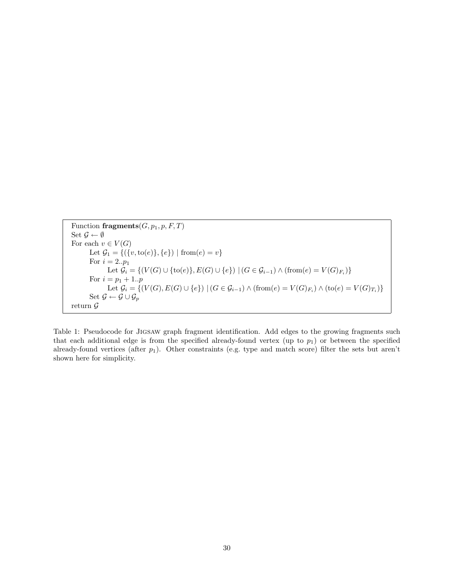Function fragments  $(G, p_1, p, F, T)$ Set  $\mathcal{G} \leftarrow \emptyset$ For each  $v \in V(G)$ Let  $\mathcal{G}_1 = \{ (\{v, to(e)\}, \{e\}) \mid \text{from}(e) = v \}$ For  $i = 2..p_1$ Let  $G_i = \{(V(G) \cup \{\text{to}(e)\}, E(G) \cup \{e\}) \mid (G \in G_{i-1}) \land (\text{from}(e) = V(G)_{F_i})\}$ For  $i = p_1 + 1..p$ Let  $G_i = \{(V(G), E(G) \cup \{e\}) \mid (G \in G_{i-1}) \wedge (\text{from}(e) = V(G)_{F_i}) \wedge (\text{to}(e) = V(G)_{T_i})\}$ Set  $\mathcal{G} \leftarrow \mathcal{G} \cup \mathcal{G}_p$ return  $\mathcal G$ 

Table 1: Pseudocode for Jigsaw graph fragment identification. Add edges to the growing fragments such that each additional edge is from the specified already-found vertex (up to  $p_1$ ) or between the specified already-found vertices (after  $p_1$ ). Other constraints (e.g. type and match score) filter the sets but aren't shown here for simplicity.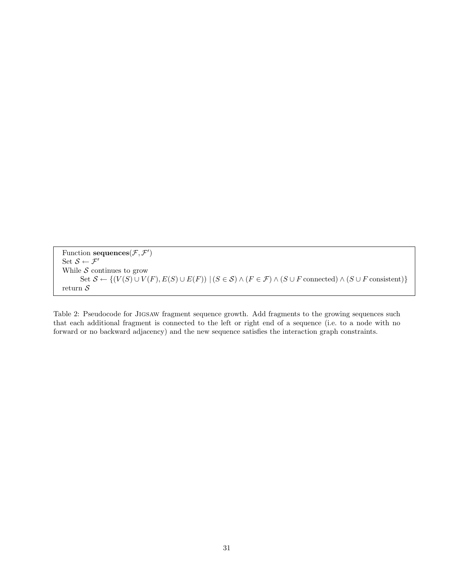Function sequences  $(\mathcal{F}, \mathcal{F}')$ Set  $\mathcal{S} \leftarrow \mathcal{F}'$ While  $\mathcal S$  continues to grow Set  $\mathcal{S} \leftarrow \{(V(S) \cup V(F), E(S) \cup E(F)) \mid (S \in \mathcal{S}) \wedge (F \in \mathcal{F}) \wedge (S \cup F \text{ connected}) \wedge (S \cup F \text{ consistent})\}$ return $\mathcal S$ 

Table 2: Pseudocode for Jigsaw fragment sequence growth. Add fragments to the growing sequences such that each additional fragment is connected to the left or right end of a sequence (i.e. to a node with no forward or no backward adjacency) and the new sequence satisfies the interaction graph constraints.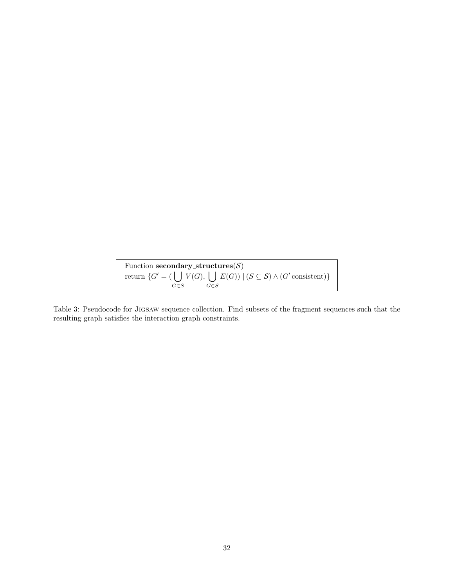Function  $\mathbf{secondary\_structures}(\mathcal{S})$ return  $\{G' = (\begin{bmatrix} \end{bmatrix})\}$ G∈S  $V(G), \left\lfloor \ \right\rfloor$ G∈S  $E(G)$  |  $(S \subseteq S) \wedge (G'$  consistent)}

Table 3: Pseudocode for Jigsaw sequence collection. Find subsets of the fragment sequences such that the resulting graph satisfies the interaction graph constraints.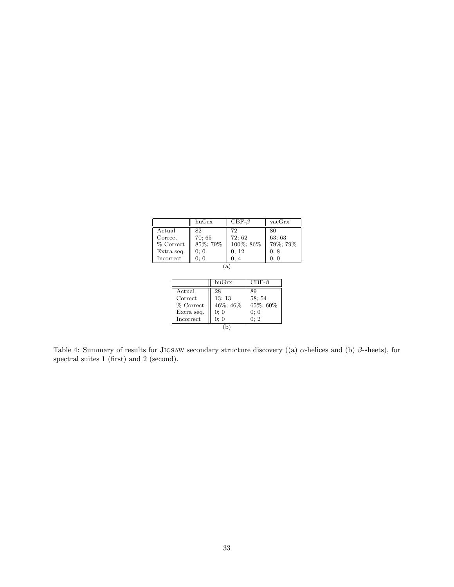|            | huGrx    | $\text{CBF-}\beta$ | $\rm vacGrx$ |
|------------|----------|--------------------|--------------|
| Actual     | 82.      | 72                 | 80           |
| Correct    | 70;65    | 72; 62             | 63; 63       |
| % Correct  | 85%; 79% | 100%; 86%          | 79%; 79%     |
| Extra seq. | 0:0      | 0; 12              | 0:8          |
| Incorrect  | 0:0      | 0:4                | 0:0          |
| a          |          |                    |              |

|            | huGrx    | $CBF-\beta$ |  |
|------------|----------|-------------|--|
| Actual     | 28       | 89          |  |
| Correct    | 13:13    | 58:54       |  |
| % Correct  | 46%; 46% | 65%; 60%    |  |
| Extra seq. | 0:0      | 0:0         |  |
| Incorrect  | 0:0      | 0:2         |  |
|            |          |             |  |

Table 4: Summary of results for JIGSAW secondary structure discovery ((a)  $\alpha$ -helices and (b)  $\beta$ -sheets), for spectral suites 1 (first) and 2 (second).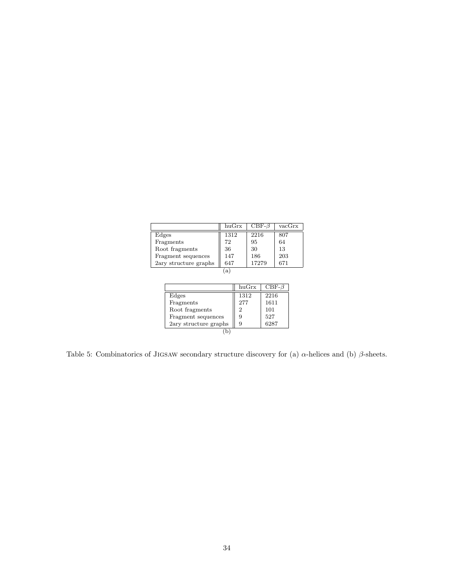|                       | huGrx | $CBF-\beta$ | vacGrx |  |
|-----------------------|-------|-------------|--------|--|
| Edges                 | 1312  | 2216        | 807    |  |
| Fragments             | 72    | 95          | 64     |  |
| Root fragments        | 36    | 30          | 13     |  |
| Fragment sequences    | 147   | 186         | 203    |  |
| 2ary structure graphs | 647   | 17279       | 671    |  |
| a                     |       |             |        |  |

|                       | huGrx | $CBF-\beta$ |  |  |
|-----------------------|-------|-------------|--|--|
| Edges                 | 1312  | 2216        |  |  |
| Fragments             | 277   | 1611        |  |  |
| Root fragments        | 2     | 101         |  |  |
| Fragment sequences    | 9     | 527         |  |  |
| 2ary structure graphs | 9     | 6287        |  |  |
|                       |       |             |  |  |

Table 5: Combinatorics of JIGSAW secondary structure discovery for (a)  $\alpha$ -helices and (b)  $\beta$ -sheets.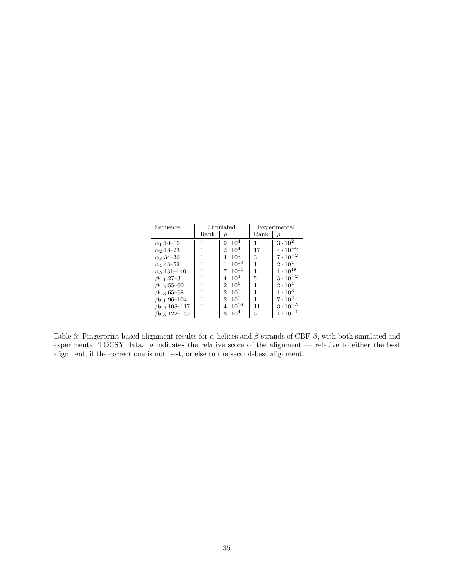| Sequence               | Simulated |                   | Experimental |                         |
|------------------------|-----------|-------------------|--------------|-------------------------|
|                        | Rank      |                   | Rank         |                         |
| $\alpha_1:10-16$       |           | $9 \cdot 10^{4}$  | 1            | $3\cdot\overline{10^2}$ |
| $\alpha_2:18-23$       |           | $2\cdot 10^4$     | 17           | $4 \cdot 10^{-6}$       |
| $\alpha_3:34-36$       |           | $4\cdot 10^1$     | 3            | $7 \cdot 10^{-2}$       |
| $\alpha_4$ :43-52      |           | $1\cdot 10^{13}$  |              | $2 \cdot 10^{4}$        |
| $\alpha_5:131-140$     |           | $7 \cdot 10^{14}$ |              | $1 \cdot 10^{19}$       |
| $\beta_{1,1}:27-31$    |           | $4 \cdot 10^3$    | 5            | $3 \cdot 10^{-2}$       |
| $\beta_{1,2}$ :55-60   |           | $2\cdot 10^6$     |              | $2\cdot 10^4$           |
| $\beta_{1,3}$ :65-68   |           | $2 \cdot 10^{1}$  |              | $1 \cdot 10^3$          |
| $\beta_{2,1}$ :96-104  |           | $2\cdot 10^1$     |              | $7 \cdot 10^2$          |
| $\beta_{2,2}$ :108-117 |           | $4 \cdot 10^{10}$ | 11           | $3 \cdot 10^{-5}$       |
| $\beta_{2,3}:122-130$  |           | $3 \cdot 10^4$    | 5            | $1 \cdot 10^{-1}$       |

Table 6: Fingerprint-based alignment results for  $\alpha$ -helices and  $\beta$ -strands of CBF- $\beta$ , with both simulated and experimental TOCSY data.  $\rho$  indicates the relative score of the alignment — relative to either the best alignment, if the correct one is not best, or else to the second-best alignment.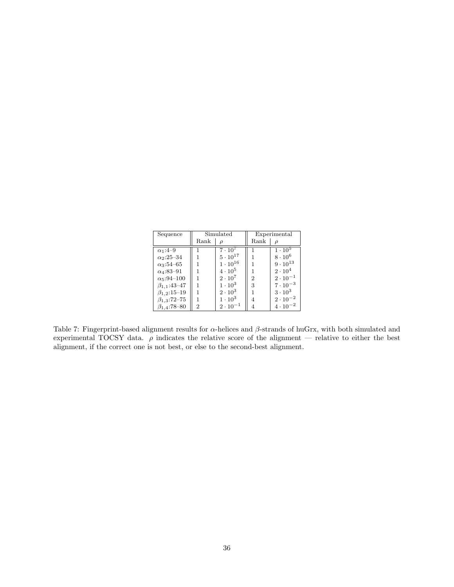| Sequence                      | Simulated |                   | Experimental                |                   |
|-------------------------------|-----------|-------------------|-----------------------------|-------------------|
|                               | Rank      |                   | Rank                        |                   |
| $\alpha_1$ :4-9               |           | $7 \cdot 10^{7}$  |                             | $1 \cdot 10^{5}$  |
| $\alpha_2$ :25-34             |           | $5\cdot10^{17}$   |                             | $8 \cdot 10^6$    |
| $\alpha_3:54-65$              |           | $1 \cdot 10^{16}$ |                             | $9 \cdot 10^{13}$ |
| $\alpha_4$ :83-91             |           | $4\cdot10^5$      |                             | $2\cdot 10^4$     |
| $\alpha$ <sub>5</sub> :94-100 |           | $2 \cdot 10^7$    | $\mathcal{D}_{\mathcal{L}}$ | $2 \cdot 10^{-1}$ |
| $\beta_{1,1}:43-47$           |           | $1 \cdot 10^3$    | 3                           | $7 \cdot 10^{-3}$ |
| $\beta_{1,2}$ :15-19          |           | $2 \cdot 10^3$    |                             | $3 \cdot 10^3$    |
| $\beta_{1,3}$ :72-75          |           | $1\cdot 10^3$     | 4                           | $2\cdot10^{-2}$   |
| $\beta_{1,4}$ :78-80          | 2         | $2 \cdot 10^{-1}$ |                             | $4 \cdot 10^{-2}$ |

Table 7: Fingerprint-based alignment results for  $\alpha$ -helices and  $\beta$ -strands of huGrx, with both simulated and experimental TOCSY data.  $\rho$  indicates the relative score of the alignment — relative to either the best alignment, if the correct one is not best, or else to the second-best alignment.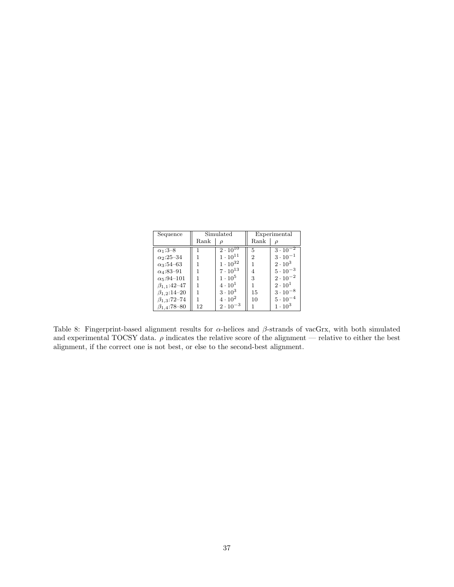| Sequence              | Simulated |                   | Experimental  |                   |
|-----------------------|-----------|-------------------|---------------|-------------------|
|                       | Rank      |                   | Rank          |                   |
| $\alpha_1:3-8$        |           | $2 \cdot 10^{10}$ | 5             | $3 \cdot 10^{-2}$ |
| $\alpha_2$ :25-34     |           | $1 \cdot 10^{11}$ | $\mathcal{D}$ | $3 \cdot 10^{-1}$ |
| $\alpha_3:54-63$      |           | $1 \cdot 10^{32}$ |               | $2\cdot 10^3$     |
| $\alpha_4$ :83-91     |           | $7 \cdot 10^{13}$ | 4             | $5 \cdot 10^{-3}$ |
| $\alpha_5:94-101$     |           | $1 \cdot 10^5$    | 3             | $2 \cdot 10^{-2}$ |
| $\beta_{1,1}:42 - 47$ |           | $4 \cdot 10^{1}$  |               | $2 \cdot 10^{1}$  |
| $\beta_{1,2}$ :14-20  |           | $3 \cdot 10^3$    | 15            | $3 \cdot 10^{-8}$ |
| $\beta_{1,3}$ :72-74  |           | $4 \cdot 10^2$    | 10            | $5\cdot10^{-4}$   |
| $\beta_{1,4}$ :78-80  | 12        | $2 \cdot 10^{-3}$ |               | $1 \cdot 10^3$    |

Table 8: Fingerprint-based alignment results for  $\alpha$ -helices and  $\beta$ -strands of vacGrx, with both simulated and experimental TOCSY data.  $\rho$  indicates the relative score of the alignment — relative to either the best alignment, if the correct one is not best, or else to the second-best alignment.